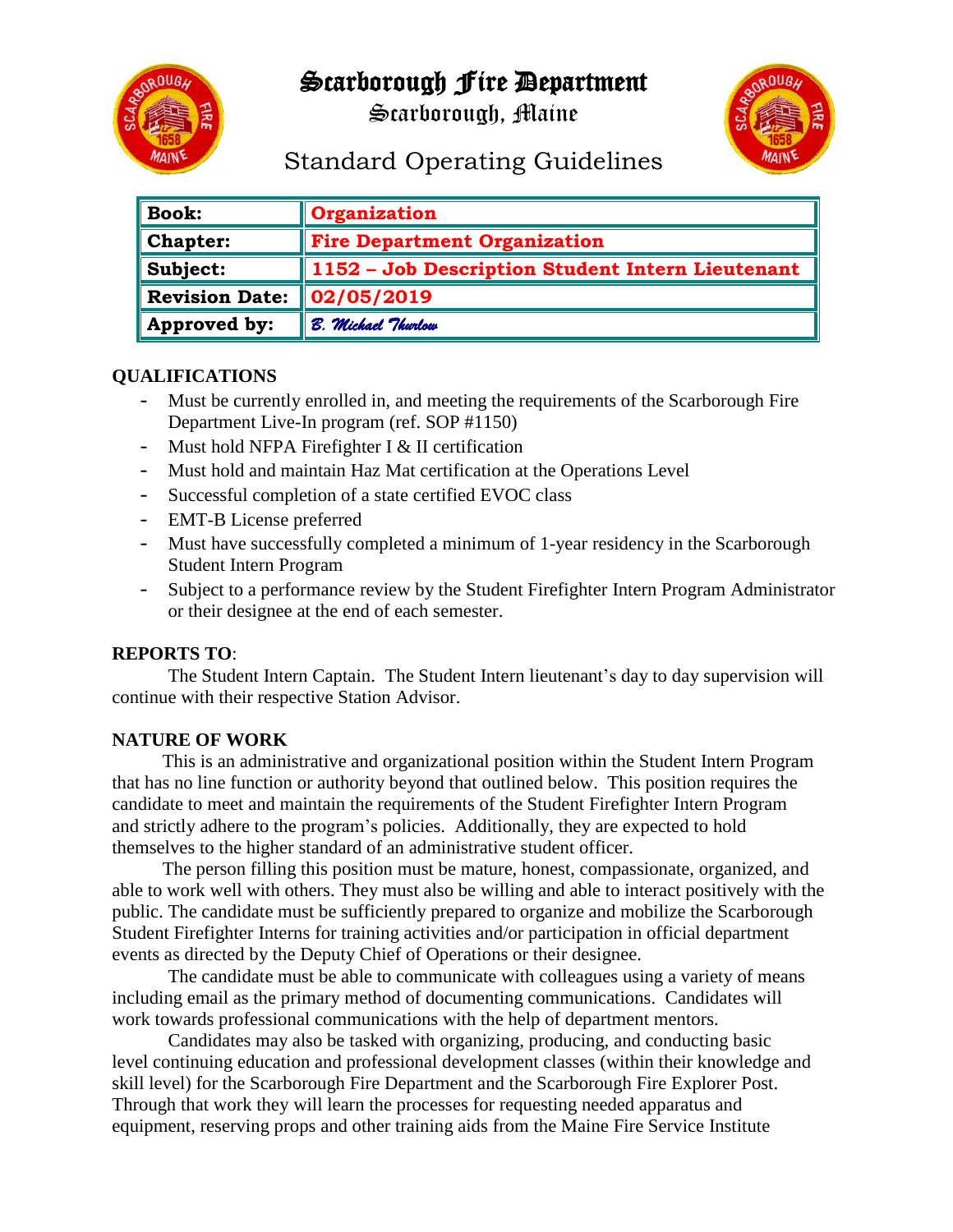## Scarborough Fire Department



Scarborough, Maine



# Standard Operating Guidelines

| <b>Book:</b>          | Organization                                     |
|-----------------------|--------------------------------------------------|
| Chapter:              | <b>Fire Department Organization</b>              |
| Subject:              | 1152 - Job Description Student Intern Lieutenant |
| <b>Revision Date:</b> | $\mid$ 02/05/2019                                |
| Approved by:          | B. Michael Thurlow                               |

#### **QUALIFICATIONS**

- Must be currently enrolled in, and meeting the requirements of the Scarborough Fire Department Live-In program (ref. SOP #1150)
- Must hold NFPA Firefighter I & II certification
- Must hold and maintain Haz Mat certification at the Operations Level
- Successful completion of a state certified EVOC class
- EMT-B License preferred
- Must have successfully completed a minimum of 1-year residency in the Scarborough Student Intern Program
- Subject to a performance review by the Student Firefighter Intern Program Administrator or their designee at the end of each semester.

#### **REPORTS TO**:

The Student Intern Captain. The Student Intern lieutenant's day to day supervision will continue with their respective Station Advisor.

#### **NATURE OF WORK**

This is an administrative and organizational position within the Student Intern Program that has no line function or authority beyond that outlined below. This position requires the candidate to meet and maintain the requirements of the Student Firefighter Intern Program and strictly adhere to the program's policies. Additionally, they are expected to hold themselves to the higher standard of an administrative student officer.

The person filling this position must be mature, honest, compassionate, organized, and able to work well with others. They must also be willing and able to interact positively with the public. The candidate must be sufficiently prepared to organize and mobilize the Scarborough Student Firefighter Interns for training activities and/or participation in official department events as directed by the Deputy Chief of Operations or their designee.

The candidate must be able to communicate with colleagues using a variety of means including email as the primary method of documenting communications. Candidates will work towards professional communications with the help of department mentors.

Candidates may also be tasked with organizing, producing, and conducting basic level continuing education and professional development classes (within their knowledge and skill level) for the Scarborough Fire Department and the Scarborough Fire Explorer Post. Through that work they will learn the processes for requesting needed apparatus and equipment, reserving props and other training aids from the Maine Fire Service Institute